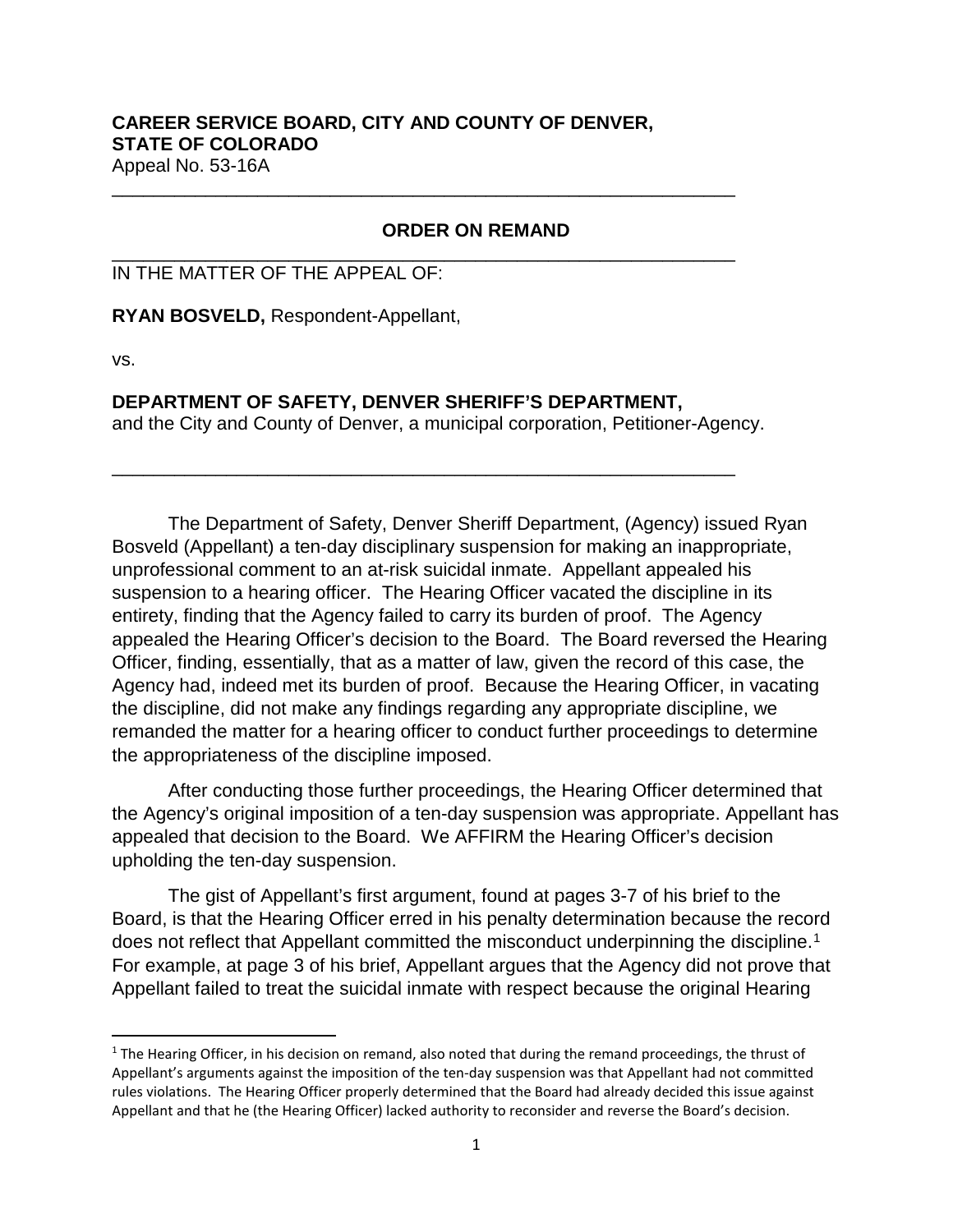## **CAREER SERVICE BOARD, CITY AND COUNTY OF DENVER, STATE OF COLORADO**  Appeal No. 53-16A

\_\_\_\_\_\_\_\_\_\_\_\_\_\_\_\_\_\_\_\_\_\_\_\_\_\_\_\_\_\_\_\_\_\_\_\_\_\_\_\_\_\_\_\_\_\_\_\_\_\_\_\_\_\_\_\_\_\_\_\_

\_\_\_\_\_\_\_\_\_\_\_\_\_\_\_\_\_\_\_\_\_\_\_\_\_\_\_\_\_\_\_\_\_\_\_\_\_\_\_\_\_\_\_\_\_\_\_\_\_\_\_\_\_\_\_\_\_\_\_\_

## **ORDER ON REMAND**

## IN THE MATTER OF THE APPEAL OF:

**RYAN BOSVELD,** Respondent-Appellant,

vs.

## **DEPARTMENT OF SAFETY, DENVER SHERIFF'S DEPARTMENT,**

and the City and County of Denver, a municipal corporation, Petitioner-Agency.

\_\_\_\_\_\_\_\_\_\_\_\_\_\_\_\_\_\_\_\_\_\_\_\_\_\_\_\_\_\_\_\_\_\_\_\_\_\_\_\_\_\_\_\_\_\_\_\_\_\_\_\_\_\_\_\_\_\_\_\_

The Department of Safety, Denver Sheriff Department, (Agency) issued Ryan Bosveld (Appellant) a ten-day disciplinary suspension for making an inappropriate, unprofessional comment to an at-risk suicidal inmate. Appellant appealed his suspension to a hearing officer. The Hearing Officer vacated the discipline in its entirety, finding that the Agency failed to carry its burden of proof. The Agency appealed the Hearing Officer's decision to the Board. The Board reversed the Hearing Officer, finding, essentially, that as a matter of law, given the record of this case, the Agency had, indeed met its burden of proof. Because the Hearing Officer, in vacating the discipline, did not make any findings regarding any appropriate discipline, we remanded the matter for a hearing officer to conduct further proceedings to determine the appropriateness of the discipline imposed.

After conducting those further proceedings, the Hearing Officer determined that the Agency's original imposition of a ten-day suspension was appropriate. Appellant has appealed that decision to the Board. We AFFIRM the Hearing Officer's decision upholding the ten-day suspension.

The gist of Appellant's first argument, found at pages 3-7 of his brief to the Board, is that the Hearing Officer erred in his penalty determination because the record does not reflect that Appellant committed the misconduct underpinning the discipline.<sup>[1](#page-0-0)</sup> For example, at page 3 of his brief, Appellant argues that the Agency did not prove that Appellant failed to treat the suicidal inmate with respect because the original Hearing

<span id="page-0-0"></span> $1$  The Hearing Officer, in his decision on remand, also noted that during the remand proceedings, the thrust of Appellant's arguments against the imposition of the ten-day suspension was that Appellant had not committed rules violations. The Hearing Officer properly determined that the Board had already decided this issue against Appellant and that he (the Hearing Officer) lacked authority to reconsider and reverse the Board's decision.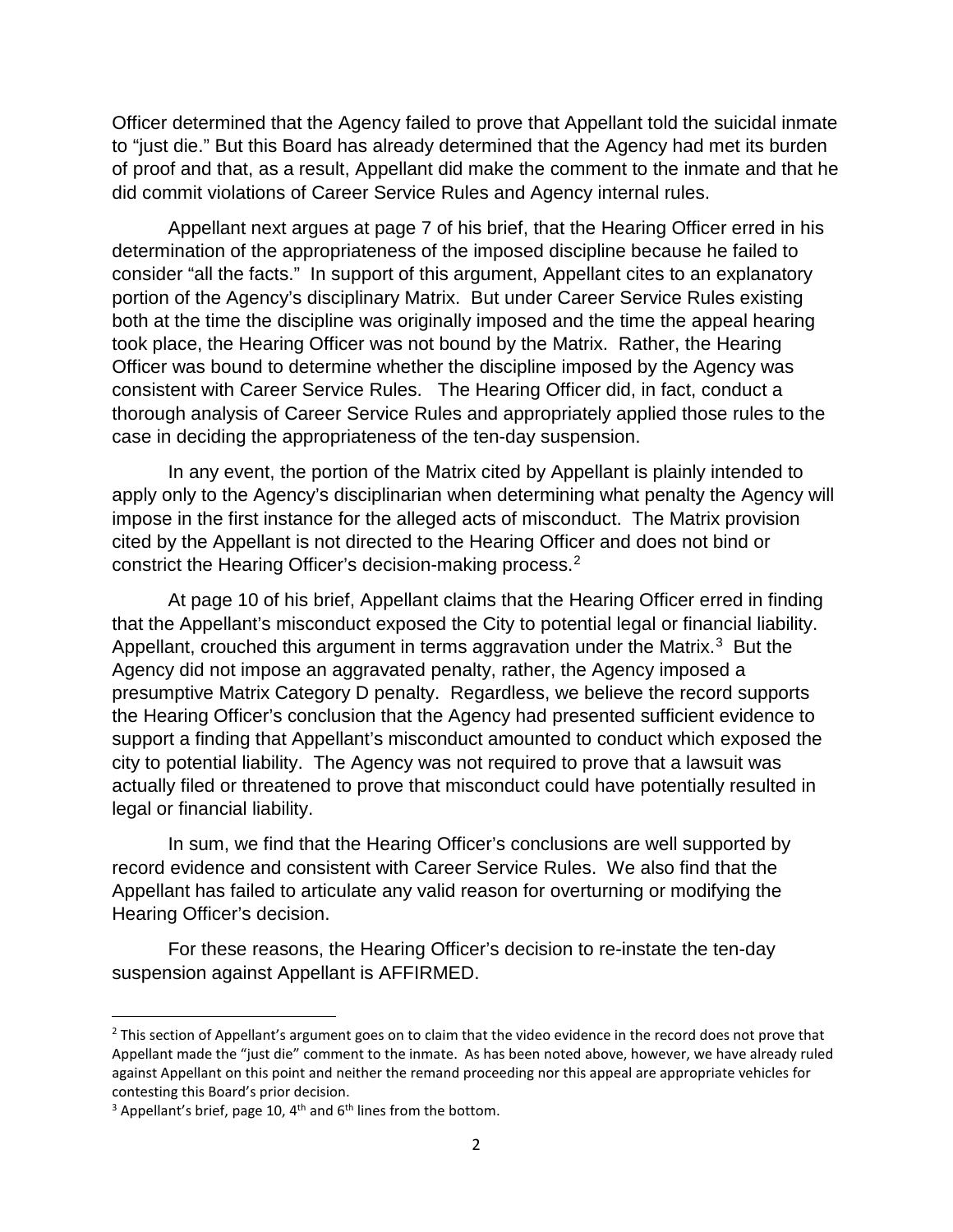Officer determined that the Agency failed to prove that Appellant told the suicidal inmate to "just die." But this Board has already determined that the Agency had met its burden of proof and that, as a result, Appellant did make the comment to the inmate and that he did commit violations of Career Service Rules and Agency internal rules.

Appellant next argues at page 7 of his brief, that the Hearing Officer erred in his determination of the appropriateness of the imposed discipline because he failed to consider "all the facts." In support of this argument, Appellant cites to an explanatory portion of the Agency's disciplinary Matrix. But under Career Service Rules existing both at the time the discipline was originally imposed and the time the appeal hearing took place, the Hearing Officer was not bound by the Matrix. Rather, the Hearing Officer was bound to determine whether the discipline imposed by the Agency was consistent with Career Service Rules. The Hearing Officer did, in fact, conduct a thorough analysis of Career Service Rules and appropriately applied those rules to the case in deciding the appropriateness of the ten-day suspension.

In any event, the portion of the Matrix cited by Appellant is plainly intended to apply only to the Agency's disciplinarian when determining what penalty the Agency will impose in the first instance for the alleged acts of misconduct. The Matrix provision cited by the Appellant is not directed to the Hearing Officer and does not bind or constrict the Hearing Officer's decision-making process.[2](#page-1-0)

At page 10 of his brief, Appellant claims that the Hearing Officer erred in finding that the Appellant's misconduct exposed the City to potential legal or financial liability. Appellant, crouched this argument in terms aggravation under the Matrix.<sup>3</sup> But the Agency did not impose an aggravated penalty, rather, the Agency imposed a presumptive Matrix Category D penalty. Regardless, we believe the record supports the Hearing Officer's conclusion that the Agency had presented sufficient evidence to support a finding that Appellant's misconduct amounted to conduct which exposed the city to potential liability. The Agency was not required to prove that a lawsuit was actually filed or threatened to prove that misconduct could have potentially resulted in legal or financial liability.

In sum, we find that the Hearing Officer's conclusions are well supported by record evidence and consistent with Career Service Rules. We also find that the Appellant has failed to articulate any valid reason for overturning or modifying the Hearing Officer's decision.

For these reasons, the Hearing Officer's decision to re-instate the ten-day suspension against Appellant is AFFIRMED.

<span id="page-1-0"></span> $2$  This section of Appellant's argument goes on to claim that the video evidence in the record does not prove that Appellant made the "just die" comment to the inmate. As has been noted above, however, we have already ruled against Appellant on this point and neither the remand proceeding nor this appeal are appropriate vehicles for contesting this Board's prior decision.

<span id="page-1-1"></span> $3$  Appellant's brief, page 10, 4<sup>th</sup> and 6<sup>th</sup> lines from the bottom.